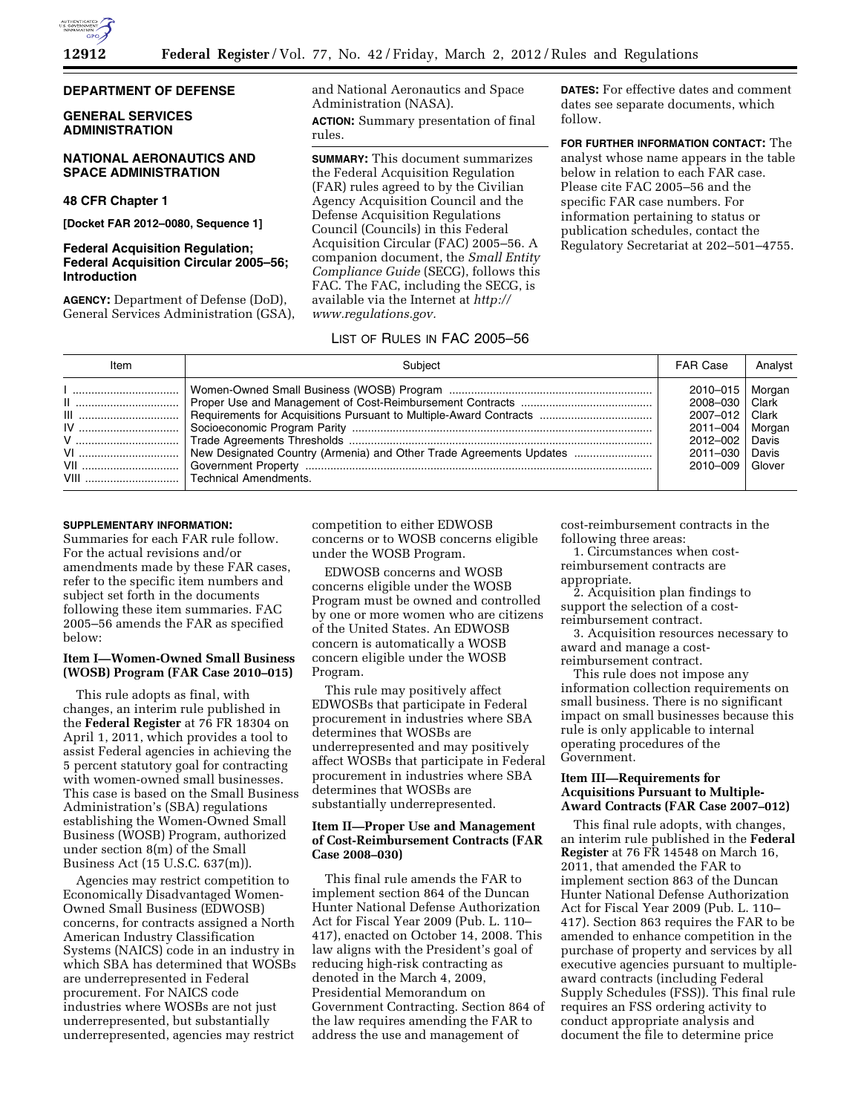

### **DEPARTMENT OF DEFENSE**

### **GENERAL SERVICES ADMINISTRATION**

## **NATIONAL AERONAUTICS AND SPACE ADMINISTRATION**

# **48 CFR Chapter 1**

**[Docket FAR 2012–0080, Sequence 1]** 

## **Federal Acquisition Regulation; Federal Acquisition Circular 2005–56; Introduction**

**AGENCY:** Department of Defense (DoD), General Services Administration (GSA), and National Aeronautics and Space Administration (NASA). **ACTION:** Summary presentation of final rules.

**SUMMARY:** This document summarizes the Federal Acquisition Regulation (FAR) rules agreed to by the Civilian Agency Acquisition Council and the Defense Acquisition Regulations Council (Councils) in this Federal Acquisition Circular (FAC) 2005–56. A companion document, the *Small Entity Compliance Guide* (SECG), follows this FAC. The FAC, including the SECG, is available via the Internet at *[http://](http://www.regulations.gov) [www.regulations.gov.](http://www.regulations.gov)* 

**DATES:** For effective dates and comment dates see separate documents, which follow.

**FOR FURTHER INFORMATION CONTACT:** The analyst whose name appears in the table below in relation to each FAR case. Please cite FAC 2005–56 and the specific FAR case numbers. For information pertaining to status or publication schedules, contact the Regulatory Secretariat at 202–501–4755.

## LIST OF RULES IN FAC 2005–56

| Item      | Subiect                                                                                                                             | <b>FAR Case</b>                                                                                    | Analyst                                      |
|-----------|-------------------------------------------------------------------------------------------------------------------------------------|----------------------------------------------------------------------------------------------------|----------------------------------------------|
| VI<br>VII | Trade Agreements Thresholds ……………………………………………………………………………………<br>New Designated Country (Armenia) and Other Trade Agreements Updates | 2010-015   Morgan<br>2008–030<br>2007-012<br>2011-004   Morgan<br>2012-002<br>2011-030<br>2010–009 | ∣ Clark<br>Clark<br>Davis<br>Davis<br>Glover |

#### **SUPPLEMENTARY INFORMATION:**

Summaries for each FAR rule follow. For the actual revisions and/or amendments made by these FAR cases, refer to the specific item numbers and subject set forth in the documents following these item summaries. FAC 2005–56 amends the FAR as specified below:

## **Item I—Women-Owned Small Business (WOSB) Program (FAR Case 2010–015)**

This rule adopts as final, with changes, an interim rule published in the **Federal Register** at 76 FR 18304 on April 1, 2011, which provides a tool to assist Federal agencies in achieving the 5 percent statutory goal for contracting with women-owned small businesses. This case is based on the Small Business Administration's (SBA) regulations establishing the Women-Owned Small Business (WOSB) Program, authorized under section 8(m) of the Small Business Act (15 U.S.C. 637(m)).

Agencies may restrict competition to Economically Disadvantaged Women-Owned Small Business (EDWOSB) concerns, for contracts assigned a North American Industry Classification Systems (NAICS) code in an industry in which SBA has determined that WOSBs are underrepresented in Federal procurement. For NAICS code industries where WOSBs are not just underrepresented, but substantially underrepresented, agencies may restrict

competition to either EDWOSB concerns or to WOSB concerns eligible under the WOSB Program.

EDWOSB concerns and WOSB concerns eligible under the WOSB Program must be owned and controlled by one or more women who are citizens of the United States. An EDWOSB concern is automatically a WOSB concern eligible under the WOSB Program.

This rule may positively affect EDWOSBs that participate in Federal procurement in industries where SBA determines that WOSBs are underrepresented and may positively affect WOSBs that participate in Federal procurement in industries where SBA determines that WOSBs are substantially underrepresented.

### **Item II—Proper Use and Management of Cost-Reimbursement Contracts (FAR Case 2008–030)**

This final rule amends the FAR to implement section 864 of the Duncan Hunter National Defense Authorization Act for Fiscal Year 2009 (Pub. L. 110– 417), enacted on October 14, 2008. This law aligns with the President's goal of reducing high-risk contracting as denoted in the March 4, 2009, Presidential Memorandum on Government Contracting. Section 864 of the law requires amending the FAR to address the use and management of

cost-reimbursement contracts in the following three areas:

1. Circumstances when costreimbursement contracts are appropriate.

2. Acquisition plan findings to support the selection of a costreimbursement contract.

3. Acquisition resources necessary to award and manage a cost-

reimbursement contract. This rule does not impose any

information collection requirements on small business. There is no significant impact on small businesses because this rule is only applicable to internal operating procedures of the Government.

## **Item III—Requirements for Acquisitions Pursuant to Multiple-Award Contracts (FAR Case 2007–012)**

This final rule adopts, with changes, an interim rule published in the **Federal Register** at 76 FR 14548 on March 16, 2011, that amended the FAR to implement section 863 of the Duncan Hunter National Defense Authorization Act for Fiscal Year 2009 (Pub. L. 110– 417). Section 863 requires the FAR to be amended to enhance competition in the purchase of property and services by all executive agencies pursuant to multipleaward contracts (including Federal Supply Schedules (FSS)). This final rule requires an FSS ordering activity to conduct appropriate analysis and document the file to determine price